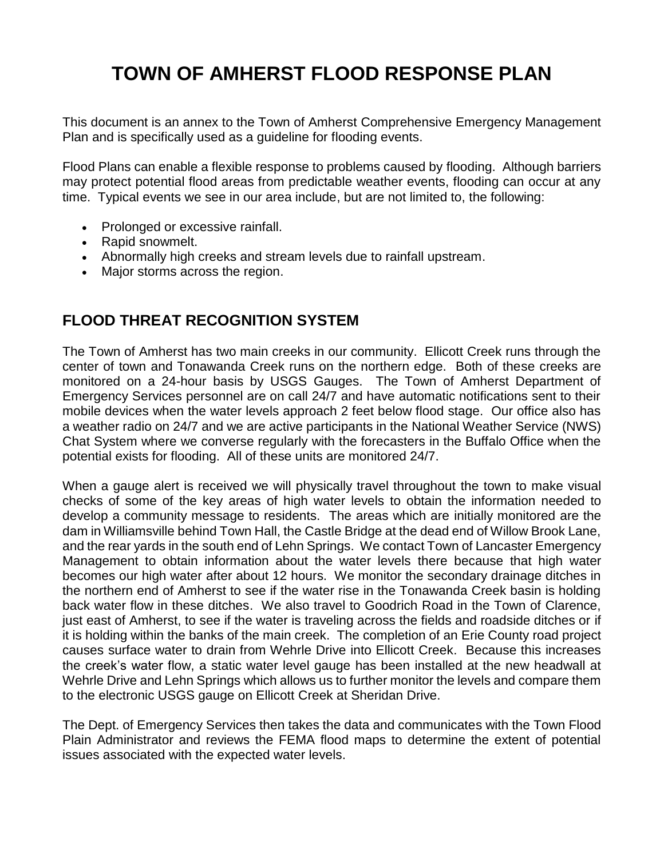# **TOWN OF AMHERST FLOOD RESPONSE PLAN**

This document is an annex to the Town of Amherst Comprehensive Emergency Management Plan and is specifically used as a guideline for flooding events.

Flood Plans can enable a flexible response to problems caused by flooding. Although barriers may protect potential flood areas from predictable weather events, flooding can occur at any time. Typical events we see in our area include, but are not limited to, the following:

- Prolonged or excessive rainfall.
- Rapid snowmelt.
- Abnormally high creeks and stream levels due to rainfall upstream.
- Major storms across the region.

## **FLOOD THREAT RECOGNITION SYSTEM**

The Town of Amherst has two main creeks in our community. Ellicott Creek runs through the center of town and Tonawanda Creek runs on the northern edge. Both of these creeks are monitored on a 24-hour basis by USGS Gauges. The Town of Amherst Department of Emergency Services personnel are on call 24/7 and have automatic notifications sent to their mobile devices when the water levels approach 2 feet below flood stage. Our office also has a weather radio on 24/7 and we are active participants in the National Weather Service (NWS) Chat System where we converse regularly with the forecasters in the Buffalo Office when the potential exists for flooding. All of these units are monitored 24/7.

When a gauge alert is received we will physically travel throughout the town to make visual checks of some of the key areas of high water levels to obtain the information needed to develop a community message to residents. The areas which are initially monitored are the dam in Williamsville behind Town Hall, the Castle Bridge at the dead end of Willow Brook Lane, and the rear yards in the south end of Lehn Springs. We contact Town of Lancaster Emergency Management to obtain information about the water levels there because that high water becomes our high water after about 12 hours. We monitor the secondary drainage ditches in the northern end of Amherst to see if the water rise in the Tonawanda Creek basin is holding back water flow in these ditches. We also travel to Goodrich Road in the Town of Clarence, just east of Amherst, to see if the water is traveling across the fields and roadside ditches or if it is holding within the banks of the main creek. The completion of an Erie County road project causes surface water to drain from Wehrle Drive into Ellicott Creek. Because this increases the creek's water flow, a static water level gauge has been installed at the new headwall at Wehrle Drive and Lehn Springs which allows us to further monitor the levels and compare them to the electronic USGS gauge on Ellicott Creek at Sheridan Drive.

The Dept. of Emergency Services then takes the data and communicates with the Town Flood Plain Administrator and reviews the FEMA flood maps to determine the extent of potential issues associated with the expected water levels.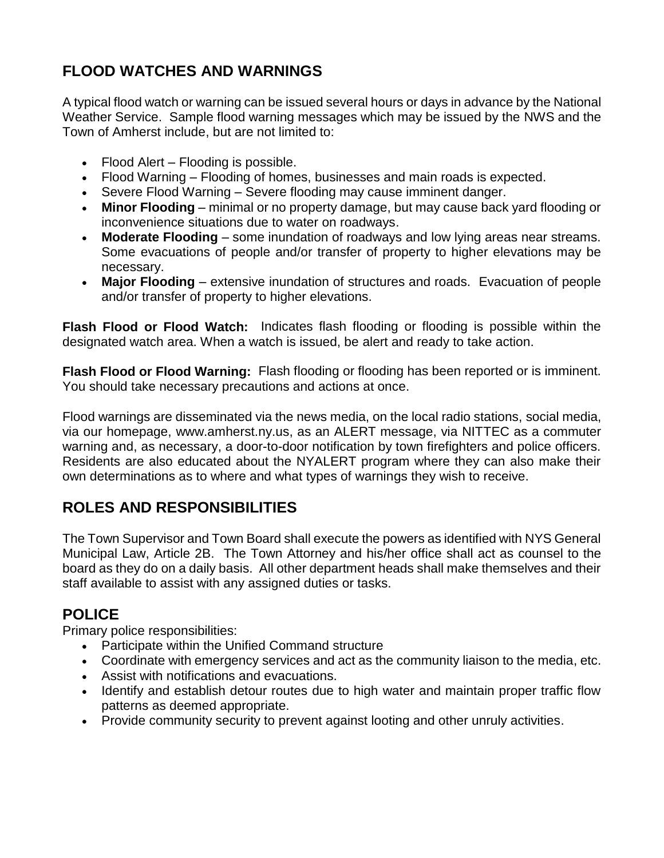# **FLOOD WATCHES AND WARNINGS**

A typical flood watch or warning can be issued several hours or days in advance by the National Weather Service. Sample flood warning messages which may be issued by the NWS and the Town of Amherst include, but are not limited to:

- Flood Alert Flooding is possible.
- Flood Warning Flooding of homes, businesses and main roads is expected.
- Severe Flood Warning Severe flooding may cause imminent danger.
- **Minor Flooding** minimal or no property damage, but may cause back yard flooding or inconvenience situations due to water on roadways.
- **Moderate Flooding**  some inundation of roadways and low lying areas near streams. Some evacuations of people and/or transfer of property to higher elevations may be necessary.
- **Major Flooding** extensive inundation of structures and roads. Evacuation of people and/or transfer of property to higher elevations.

**Flash Flood or Flood Watch:** Indicates flash flooding or flooding is possible within the designated watch area. When a watch is issued, be alert and ready to take action.

**Flash Flood or Flood Warning:** Flash flooding or flooding has been reported or is imminent. You should take necessary precautions and actions at once.

Flood warnings are disseminated via the news media, on the local radio stations, social media, via our homepage, www.amherst.ny.us, as an ALERT message, via NITTEC as a commuter warning and, as necessary, a door-to-door notification by town firefighters and police officers. Residents are also educated about the NYALERT program where they can also make their own determinations as to where and what types of warnings they wish to receive.

## **ROLES AND RESPONSIBILITIES**

The Town Supervisor and Town Board shall execute the powers as identified with NYS General Municipal Law, Article 2B. The Town Attorney and his/her office shall act as counsel to the board as they do on a daily basis. All other department heads shall make themselves and their staff available to assist with any assigned duties or tasks.

#### **POLICE**

Primary police responsibilities:

- Participate within the Unified Command structure
- Coordinate with emergency services and act as the community liaison to the media, etc.
- Assist with notifications and evacuations.
- Identify and establish detour routes due to high water and maintain proper traffic flow patterns as deemed appropriate.
- Provide community security to prevent against looting and other unruly activities.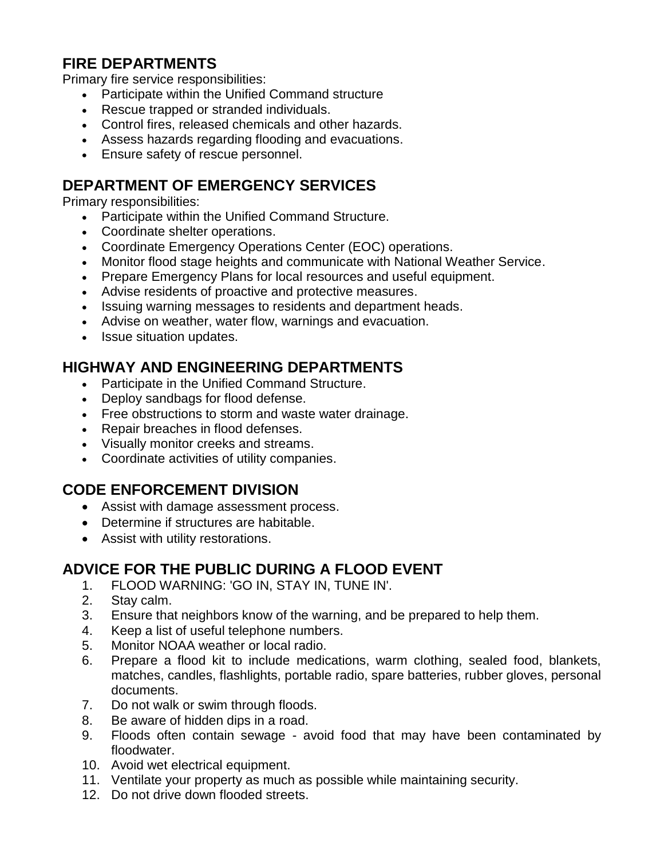### **FIRE DEPARTMENTS**

Primary fire service responsibilities:

- Participate within the Unified Command structure
- Rescue trapped or stranded individuals.
- Control fires, released chemicals and other hazards.
- Assess hazards regarding flooding and evacuations.
- Ensure safety of rescue personnel.

### **DEPARTMENT OF EMERGENCY SERVICES**

Primary responsibilities:

- Participate within the Unified Command Structure.
- Coordinate shelter operations.
- Coordinate Emergency Operations Center (EOC) operations.
- Monitor flood stage heights and communicate with National Weather Service.
- Prepare Emergency Plans for local resources and useful equipment.
- Advise residents of proactive and protective measures.
- Issuing warning messages to residents and department heads.
- Advise on weather, water flow, warnings and evacuation.
- Issue situation updates.

#### **HIGHWAY AND ENGINEERING DEPARTMENTS**

- Participate in the Unified Command Structure.
- Deploy sandbags for flood defense.
- Free obstructions to storm and waste water drainage.
- Repair breaches in flood defenses.
- Visually monitor creeks and streams.
- Coordinate activities of utility companies.

#### **CODE ENFORCEMENT DIVISION**

- Assist with damage assessment process.
- Determine if structures are habitable.
- Assist with utility restorations.

#### **ADVICE FOR THE PUBLIC DURING A FLOOD EVENT**

- 1. FLOOD WARNING: 'GO IN, STAY IN, TUNE IN'.
- 2. Stay calm.
- 3. Ensure that neighbors know of the warning, and be prepared to help them.
- 4. Keep a list of useful telephone numbers.
- 5. Monitor NOAA weather or local radio.
- 6. Prepare a flood kit to include medications, warm clothing, sealed food, blankets, matches, candles, flashlights, portable radio, spare batteries, rubber gloves, personal documents.
- 7. Do not walk or swim through floods.
- 8. Be aware of hidden dips in a road.
- 9. Floods often contain sewage avoid food that may have been contaminated by floodwater.
- 10. Avoid wet electrical equipment.
- 11. Ventilate your property as much as possible while maintaining security.
- 12. Do not drive down flooded streets.